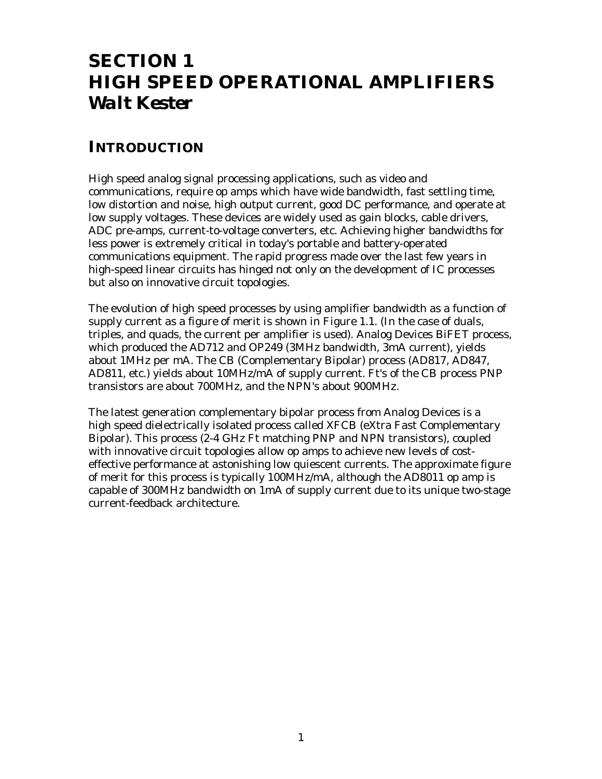# **SECTION 1 HIGH SPEED OPERATIONAL AMPLIFIERS** *Walt Kester*

### **INTRODUCTION**

High speed analog signal processing applications, such as video and communications, require op amps which have wide bandwidth, fast settling time, low distortion and noise, high output current, good DC performance, and operate at low supply voltages. These devices are widely used as gain blocks, cable drivers, ADC pre-amps, current-to-voltage converters, etc. Achieving higher bandwidths for less power is extremely critical in today's portable and battery-operated communications equipment. The rapid progress made over the last few years in high-speed linear circuits has hinged not only on the development of IC processes but also on innovative circuit topologies.

The evolution of high speed processes by using amplifier bandwidth as a function of supply current as a figure of merit is shown in Figure 1.1. (In the case of duals, triples, and quads, the current per amplifier is used). Analog Devices BiFET process, which produced the AD712 and OP249 (3MHz bandwidth, 3mA current), yields about 1MHz per mA. The CB (Complementary Bipolar) process (AD817, AD847, AD811, etc.) yields about 10MHz/mA of supply current. Ft's of the CB process PNP transistors are about 700MHz, and the NPN's about 900MHz.

The latest generation complementary bipolar process from Analog Devices is a high speed dielectrically isolated process called XFCB (eXtra Fast Complementary Bipolar). This process (2-4 GHz Ft matching PNP and NPN transistors), coupled with innovative circuit topologies allow op amps to achieve new levels of costeffective performance at astonishing low quiescent currents. The approximate figure of merit for this process is typically 100MHz/mA, although the AD8011 op amp is capable of 300MHz bandwidth on 1mA of supply current due to its unique two-stage current-feedback architecture.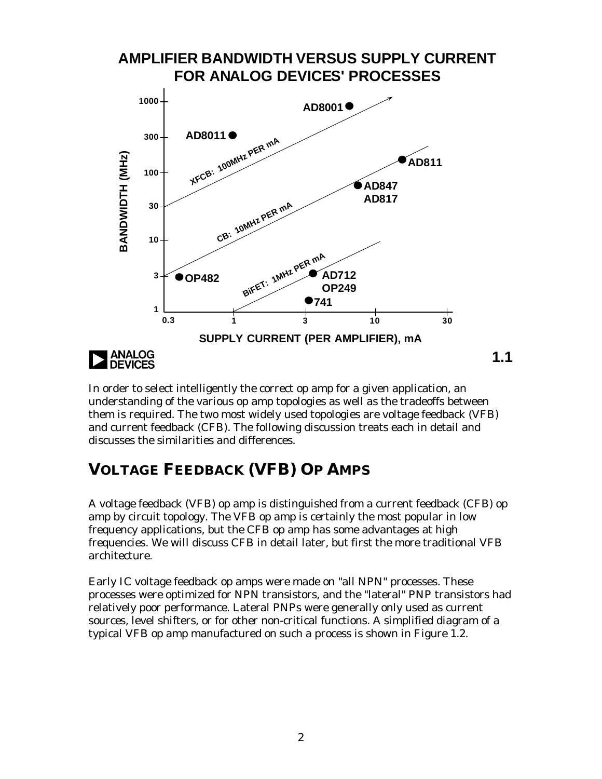

In order to select intelligently the correct op amp for a given application, an understanding of the various op amp topologies as well as the tradeoffs between them is required. The two most widely used topologies are voltage feedback (VFB) and current feedback (CFB). The following discussion treats each in detail and discusses the similarities and differences.

## **VOLTAGE FEEDBACK (VFB) OP AMPS**

A voltage feedback (VFB) op amp is distinguished from a current feedback (CFB) op amp by circuit topology. The VFB op amp is certainly the most popular in low frequency applications, but the CFB op amp has some advantages at high frequencies. We will discuss CFB in detail later, but first the more traditional VFB architecture.

Early IC voltage feedback op amps were made on "all NPN" processes. These processes were optimized for NPN transistors, and the "lateral" PNP transistors had relatively poor performance. Lateral PNPs were generally only used as current sources, level shifters, or for other non-critical functions. A simplified diagram of a typical VFB op amp manufactured on such a process is shown in Figure 1.2.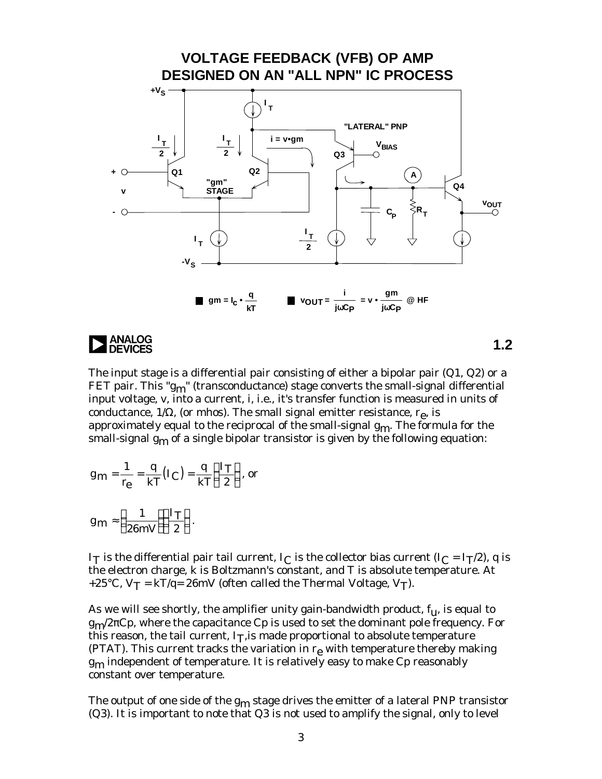

The input stage is a differential pair consisting of either a bipolar pair (Q1, Q2) or a FET pair. This " $g_{m}$ " (transconductance) stage converts the small-signal differential input voltage, v, into a current, i, i.e., it's transfer function is measured in units of conductance, 1/Ω, (or mhos). The small signal emitter resistance,  $r_{\text{e}}$ , is approximately equal to the reciprocal of the small-signal  $g_m$ . The formula for the small-signal  $g_{\rm m}$  of a single bipolar transistor is given by the following equation:

$$
g_{\mathbf{m}} = \frac{1}{r_{\mathbf{e}}} = \frac{q}{kT} (I_C) = \frac{q}{kT} \left(\frac{I_T}{2}\right), \text{ or}
$$

$$
g_{\mathbf{m}} \approx \left(\frac{1}{26mV}\right)\left(\frac{I_T}{2}\right).
$$

I<sub>T</sub> is the differential pair tail current, I<sub>C</sub> is the collector bias current (I<sub>C</sub> = I<sub>T</sub>/2), q is the electron charge, k is Boltzmann's constant, and T is absolute temperature. At +25°C,  $V_T = kT/q = 26mV$  (often called the Thermal Voltage,  $V_T$ ).

As we will see shortly, the amplifier unity gain-bandwidth product,  $f_{\mathbf{u}}$ , is equal to  $g_{\rm m}/2\pi C$ p, where the capacitance Cp is used to set the dominant pole frequency. For this reason, the tail current, I<sub>T</sub>, is made proportional to absolute temperature (PTAT). This current tracks the variation in  $r_e$  with temperature thereby making  $g<sub>m</sub>$  independent of temperature. It is relatively easy to make Cp reasonably constant over temperature.

The output of one side of the  $g_m$  stage drives the emitter of a lateral PNP transistor (Q3). It is important to note that Q3 is not used to amplify the signal, only to level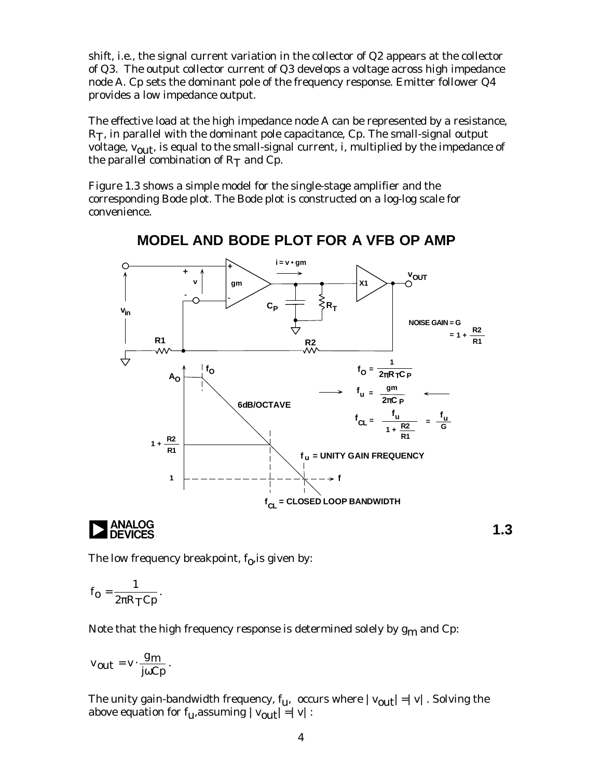shift, i.e., the signal current variation in the collector of Q2 appears at the collector of Q3. The output collector current of Q3 develops a voltage across high impedance node A. Cp sets the dominant pole of the frequency response. Emitter follower Q4 provides a low impedance output.

The effective load at the high impedance node A can be represented by a resistance,  $R<sub>T</sub>$ , in parallel with the dominant pole capacitance,  $C<sub>p</sub>$ . The small-signal output voltage,  $v_{\text{out}}$ , is equal to the small-signal current, i, multiplied by the impedance of the parallel combination of  $R<sub>T</sub>$  and Cp.

Figure 1.3 shows a simple model for the single-stage amplifier and the corresponding Bode plot. The Bode plot is constructed on a log-log scale for convenience.



**MODEL AND BODE PLOT FOR A VFB OP AMP**

The low frequency breakpoint,  $\rm f_{0}$ ,is given by:

$$
f_{o}=\frac{1}{2\pi R_{T}Cp}.
$$

Note that the high frequency response is determined solely by  $g_m$  and Cp:

$$
v_{out} = v \cdot \frac{g_m}{j\omega Cp}.
$$

The unity gain-bandwidth frequency,  $f_{u}$ , occurs where  $|v_{out}| = |v|$ . Solving the above equation for  $f_{u}$ , assuming  $|v_{out}| = |v|$ :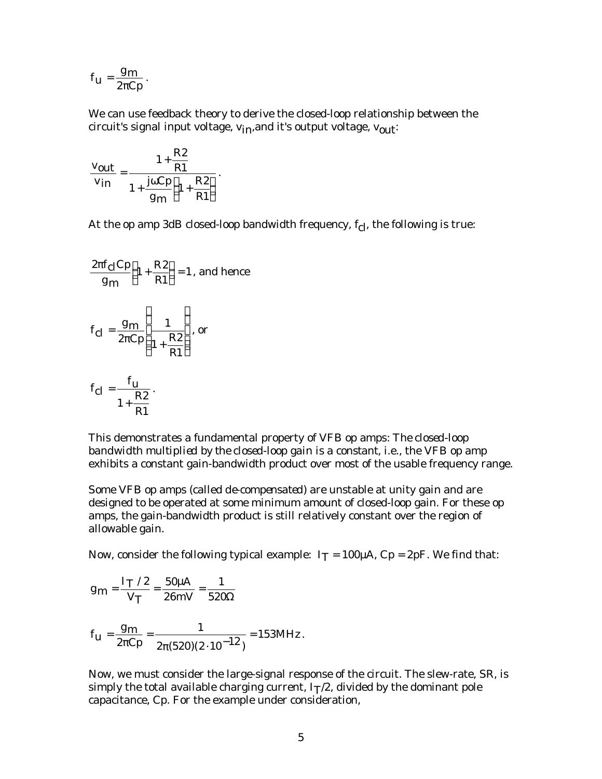$$
f_{u} = \frac{g_{m}}{2\pi Cp}.
$$

We can use feedback theory to derive the closed-loop relationship between the circuit's signal input voltage,  $v_{in}$ , and it's output voltage,  $v_{out}$ :

$$
\frac{\mathbf{v}_{out}}{\mathbf{v}_{in}} = \frac{1 + \frac{R2}{R1}}{1 + \frac{j\omega Cp}{g_m} \left(1 + \frac{R2}{R1}\right)}.
$$

At the op amp 3dB closed-loop bandwidth frequency,  $f_{cl}$ , the following is true:

$$
\frac{2\pi f_{\text{cl}}\text{Cp}}{g_{\text{m}}}\left(1+\frac{R2}{R1}\right) = 1, \text{ and hence}
$$
\n
$$
f_{\text{cl}} = \frac{g_{\text{m}}}{2\pi\text{Cp}}\left(\frac{1}{1+\frac{R2}{R1}}\right), \text{ or}
$$
\n
$$
f_{\text{cl}} = \frac{f_{\text{u}}}{R2}.
$$

R

 $1 + \frac{R2}{R}$ 

R 1 This demonstrates a fundamental property of VFB op amps: *The closed-loop bandwidth multiplied by the closed-loop gain is a constant*, i.e., the VFB op amp exhibits a constant gain-bandwidth product over most of the usable frequency range.

Some VFB op amps (called *de-compensated*) are unstable at unity gain and are designed to be operated at some minimum amount of closed-loop gain. For these op amps, the gain-bandwidth product is still relatively constant over the region of allowable gain.

Now, consider the following typical example:  $I_T = 100 \mu A$ ,  $C_p = 2pF$ . We find that:

$$
g_m = \frac{I_T / 2}{V_T} = \frac{50 \mu A}{26 mV} = \frac{1}{520 \Omega}
$$

$$
f_{\text{u}} = \frac{g_{\text{m}}}{2\pi C \text{p}} = \frac{1}{2\pi (520)(2 \cdot 10^{-12})} = 153 \text{MHz}.
$$

Now, we must consider the large-signal response of the circuit. The slew-rate, SR, is simply the total available charging current,  $I_T/2$ , divided by the dominant pole capacitance, Cp. For the example under consideration,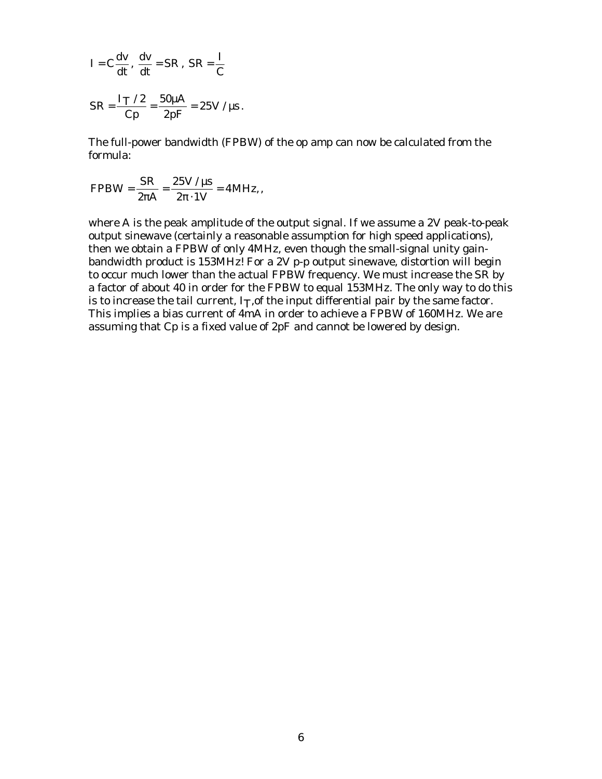$$
I = C\frac{dv}{dt}, \frac{dv}{dt} = SR, SR = \frac{I}{C}
$$

$$
SR = \frac{I_T / 2}{Cp} = \frac{50\mu A}{2pF} = 25V / \mu s.
$$

The full-power bandwidth (FPBW) of the op amp can now be calculated from the formula:

$$
\text{FPBW} = \frac{\text{SR}}{2\pi\text{A}} = \frac{25 \text{V} / \mu\text{s}}{2\pi \cdot 1 \text{V}} = 4 \text{MHz},
$$

where A is the peak amplitude of the output signal. If we assume a 2V peak-to-peak output sinewave (certainly a reasonable assumption for high speed applications), then we obtain a FPBW of only 4MHz, even though the small-signal unity gainbandwidth product is 153MHz! For a 2V p-p output sinewave, distortion will begin to occur much lower than the actual FPBW frequency. We must increase the SR by a factor of about 40 in order for the FPBW to equal 153MHz. The only way to do this is to increase the tail current,  $I_T$ , of the input differential pair by the same factor. This implies a bias current of 4mA in order to achieve a FPBW of 160MHz. We are assuming that Cp is a fixed value of 2pF and cannot be lowered by design.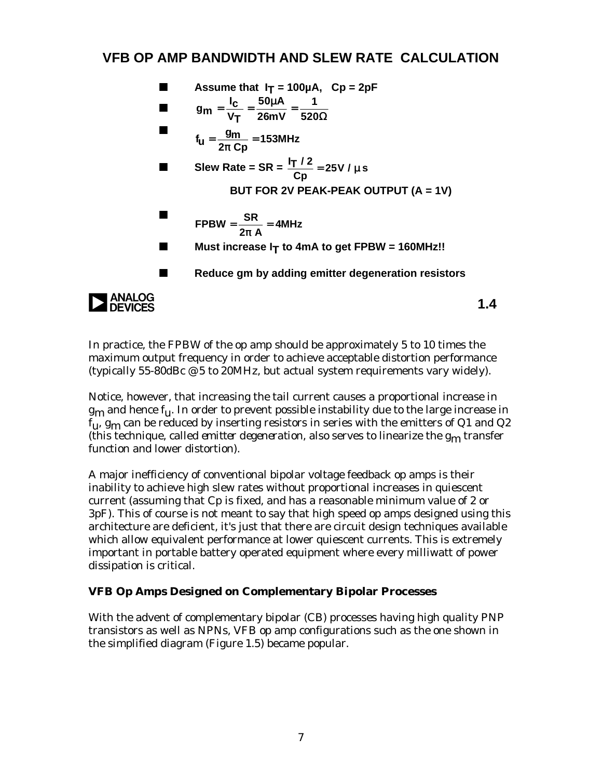### **VFB OP AMP BANDWIDTH AND SLEW RATE CALCULATION**



In practice, the FPBW of the op amp should be approximately 5 to 10 times the maximum output frequency in order to achieve acceptable distortion performance (typically 55-80dBc @ 5 to 20MHz, but actual system requirements vary widely).

Notice, however, that increasing the tail current causes a proportional increase in  $g_{\rm m}$  and hence  $f_{\rm u}$ . In order to prevent possible instability due to the large increase in  $f_{11}$ ,  $g_{m}$  can be reduced by inserting resistors in series with the emitters of Q1 and Q2 (this technique, called *emitter degeneration*, also serves to linearize the gm transfer function and lower distortion).

A major inefficiency of conventional bipolar voltage feedback op amps is their inability to achieve high slew rates without proportional increases in quiescent current (assuming that Cp is fixed, and has a reasonable minimum value of 2 or 3pF). This of course is not meant to say that high speed op amps designed using this architecture are deficient, it's just that there are circuit design techniques available which allow equivalent performance at lower quiescent currents. This is extremely important in portable battery operated equipment where every milliwatt of power dissipation is critical.

#### **VFB Op Amps Designed on Complementary Bipolar Processes**

With the advent of complementary bipolar (CB) processes having high quality PNP transistors as well as NPNs, VFB op amp configurations such as the one shown in the simplified diagram (Figure 1.5) became popular.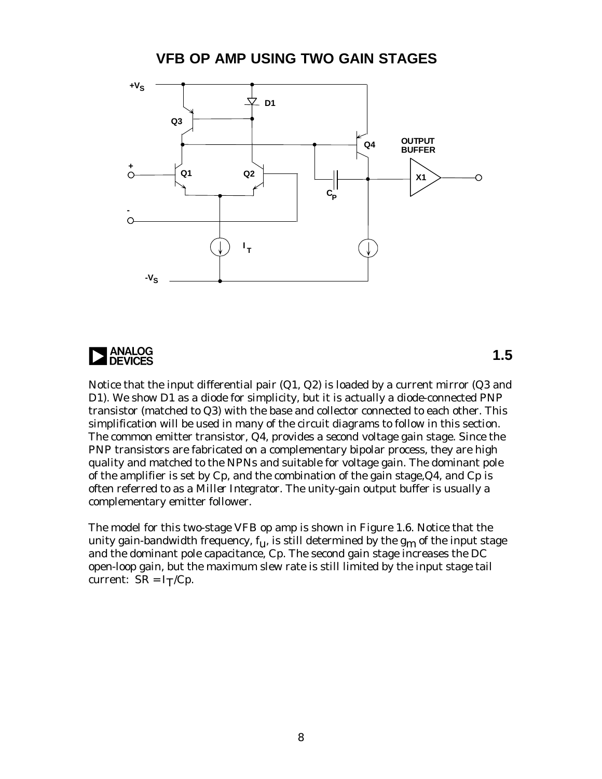**VFB OP AMP USING TWO GAIN STAGES**



**ANALOG**<br>**DEVICES** 

**1.5**

Notice that the input differential pair (Q1, Q2) is loaded by a current mirror (Q3 and D1). We show D1 as a diode for simplicity, but it is actually a diode-connected PNP transistor (matched to Q3) with the base and collector connected to each other. This simplification will be used in many of the circuit diagrams to follow in this section. The common emitter transistor, Q4, provides a *second* voltage gain stage. Since the PNP transistors are fabricated on a complementary bipolar process, they are high quality and matched to the NPNs and suitable for voltage gain. The dominant pole of the amplifier is set by Cp, and the combination of the gain stage,Q4, and Cp is often referred to as a *Miller Integrator*. The unity-gain output buffer is usually a complementary emitter follower.

The model for this two-stage VFB op amp is shown in Figure 1.6. Notice that the unity gain-bandwidth frequency,  $f_{11}$ , is still determined by the  $g_{m}$  of the input stage and the dominant pole capacitance, Cp. The second gain stage increases the DC open-loop gain, but the maximum slew rate is still limited by the input stage tail current:  $SR = I_T/Cp$ .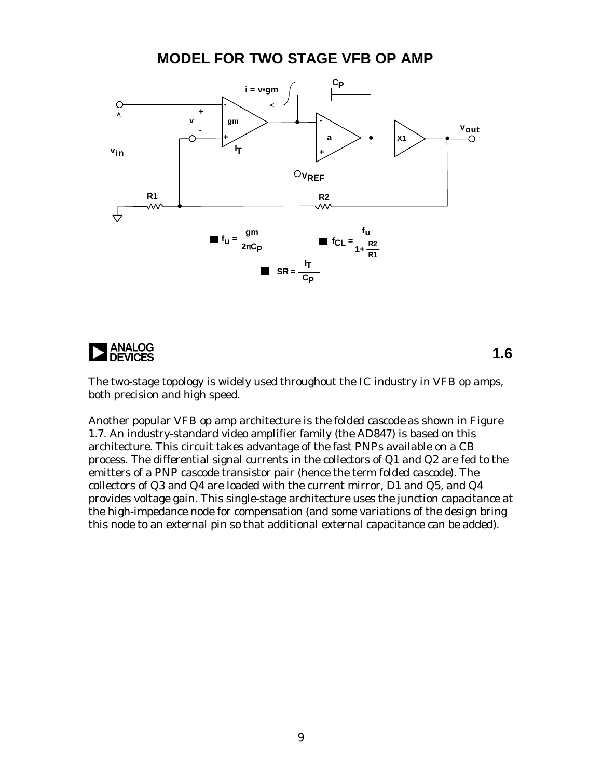### **MODEL FOR TWO STAGE VFB OP AMP**



**ANALOG<br>DEVICES** 

**1.6**

The two-stage topology is widely used throughout the IC industry in VFB op amps, both precision and high speed.

Another popular VFB op amp architecture is the *folded cascode* as shown in Figure 1.7. An industry-standard video amplifier family (the AD847) is based on this architecture. This circuit takes advantage of the fast PNPs available on a CB process. The differential signal currents in the collectors of Q1 and Q2 are fed to the emitters of a PNP cascode transistor pair (hence the term *folded cascode*). The collectors of Q3 and Q4 are loaded with the current mirror, D1 and Q5, and Q4 provides voltage gain. This single-stage architecture uses the junction capacitance at the high-impedance node for compensation (and some variations of the design bring this node to an external pin so that additional external capacitance can be added).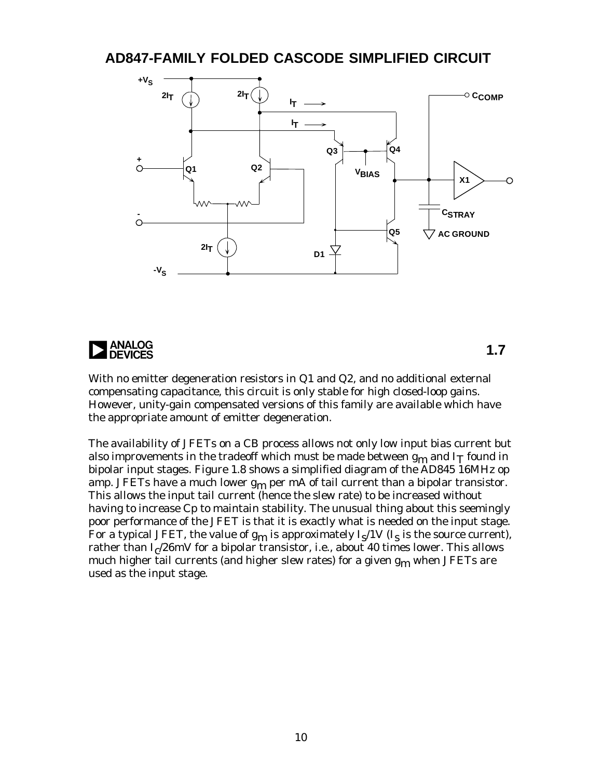### **AD847-FAMILY FOLDED CASCODE SIMPLIFIED CIRCUIT**



**ANALOG<br>DEVICES** 

**1.7**

With no emitter degeneration resistors in Q1 and Q2, and no additional external compensating capacitance, this circuit is only stable for high closed-loop gains. However, unity-gain compensated versions of this family are available which have the appropriate amount of emitter degeneration.

The availability of JFETs on a CB process allows not only low input bias current but also improvements in the tradeoff which must be made between  $g_m$  and  $I_T$  found in bipolar input stages. Figure 1.8 shows a simplified diagram of the AD845 16MHz op amp. JFETs have a much lower  $g_m$  per mA of tail current than a bipolar transistor. This allows the input tail current (hence the slew rate) to be increased without having to increase Cp to maintain stability. The unusual thing about this seemingly poor performance of the JFET is that it is exactly what is needed on the input stage. For a typical JFET, the value of  $\rm g_{\rm m}$  is approximately I $\rm _S/1V$  (I $\rm _S$  is the source current), rather than  $\rm I_{C}/26mV$  for a bipolar transistor, i.e., about  $40$  times lower. This allows much higher tail currents (and higher slew rates) for a given g<sub>m</sub> when JFETs are used as the input stage.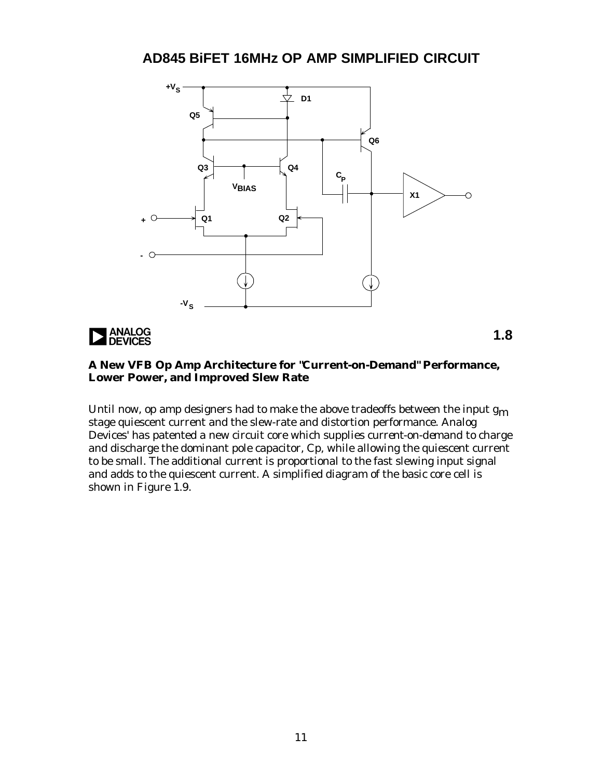**AD845 BiFET 16MHz OP AMP SIMPLIFIED CIRCUIT**



**ANALOG**<br>DEVICES

**1.8**

#### **A New VFB Op Amp Architecture for "Current-on-Demand" Performance, Lower Power, and Improved Slew Rate**

Until now, op amp designers had to make the above tradeoffs between the input  $g_m$ stage quiescent current and the slew-rate and distortion performance. Analog Devices' has patented a new circuit core which supplies *current-on-demand* to charge and discharge the dominant pole capacitor, Cp, while allowing the quiescent current to be small. The additional current is proportional to the fast slewing input signal and adds to the quiescent current. A simplified diagram of the basic core cell is shown in Figure 1.9.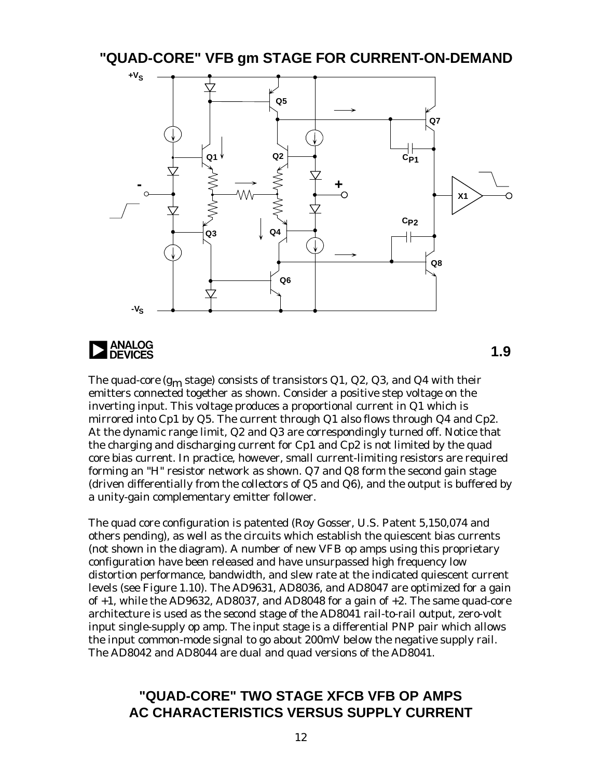#### **"QUAD-CORE" VFB gm STAGE FOR CURRENT-ON-DEMAND**





**1.9**

The *quad-core* ( $g_m$  stage) consists of transistors Q1, Q2, Q3, and Q4 with their emitters connected together as shown. Consider a positive step voltage on the inverting input. This voltage produces a proportional current in Q1 which is mirrored into Cp1 by Q5. The current through Q1 also flows through Q4 and Cp2. At the dynamic range limit, Q2 and Q3 are correspondingly turned off. Notice that the charging and discharging current for Cp1 and Cp2 is not limited by the quad core bias current. In practice, however, small current-limiting resistors are required forming an "H" resistor network as shown. Q7 and Q8 form the second gain stage (driven differentially from the collectors of Q5 and Q6), and the output is buffered by a unity-gain complementary emitter follower.

The quad core configuration is patented (Roy Gosser, U.S. Patent 5,150,074 and others pending), as well as the circuits which establish the quiescent bias currents (not shown in the diagram). A number of new VFB op amps using this proprietary configuration have been released and have unsurpassed high frequency low distortion performance, bandwidth, and slew rate at the indicated quiescent current levels (see Figure 1.10). The AD9631, AD8036, and AD8047 are optimized for a gain of  $+1$ , while the AD9632, AD8037, and AD8048 for a gain of  $+2$ . The same quad-core architecture is used as the *second* stage of the AD8041 rail-to-rail output, zero-volt input single-supply op amp. The input stage is a differential PNP pair which allows the input common-mode signal to go about 200mV below the negative supply rail. The AD8042 and AD8044 are dual and quad versions of the AD8041.

#### **"QUAD-CORE" TWO STAGE XFCB VFB OP AMPS AC CHARACTERISTICS VERSUS SUPPLY CURRENT**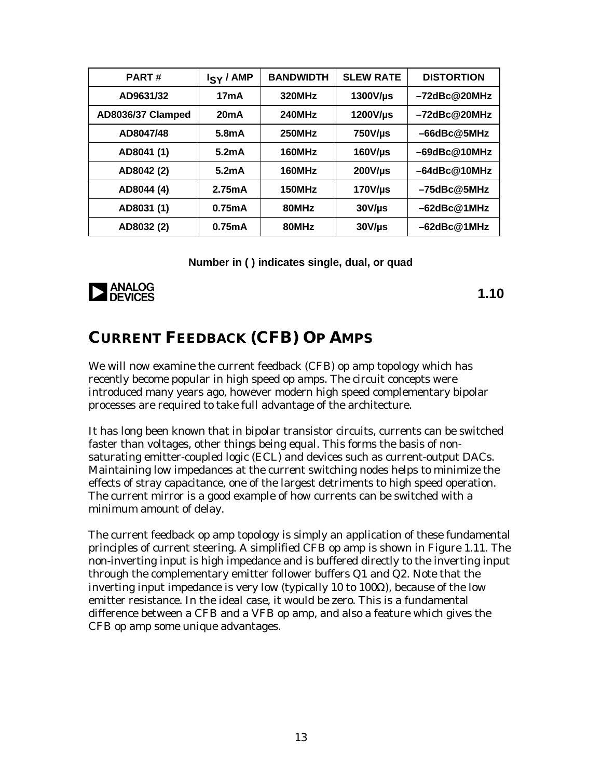| <b>PART#</b>      | I <sub>SY</sub> / AMP | <b>BANDWIDTH</b> | <b>SLEW RATE</b> | <b>DISTORTION</b>   |
|-------------------|-----------------------|------------------|------------------|---------------------|
| AD9631/32         | 17mA                  | 320MHz           | $1300V/\mu s$    | -72dBc@20MHz        |
| AD8036/37 Clamped | 20mA                  | <b>240MHz</b>    | 1200V/µs         | $-72$ dBc $@20$ MHz |
| AD8047/48         | $5.8m$ A              | 250MHz           | $750V/\mu s$     | $-66$ dBc $@5$ MHz  |
| AD8041 (1)        | $5.2m$ A              | 160MHz           | $160V/\mu s$     | $-69$ dBc $@10$ MHz |
| AD8042 (2)        | 5.2mA                 | 160MHz           | $200$ V/µs       | $-64$ dBc@10MHz     |
| AD8044 (4)        | 2.75mA                | 150MHz           | $170V/\mu s$     | $-75$ dBc@5MHz      |
| AD8031 (1)        | 0.75mA                | 80MHz            | $30V/\mu s$      | $-62$ dBc $@1$ MHz  |
| AD8032 (2)        | 0.75mA                | 80MHz            | $30V/\mu s$      | -62dBc@1MHz         |

**Number in ( ) indicates single, dual, or quad**



**1.10**

### **CURRENT FEEDBACK (CFB) OP AMPS**

We will now examine the current feedback (CFB) op amp topology which has recently become popular in high speed op amps. The circuit concepts were introduced many years ago, however modern high speed complementary bipolar processes are required to take full advantage of the architecture.

It has long been known that in bipolar transistor circuits, currents can be switched faster than voltages, other things being equal. This forms the basis of nonsaturating emitter-coupled logic (ECL) and devices such as current-output DACs. Maintaining low impedances at the current switching nodes helps to minimize the effects of stray capacitance, one of the largest detriments to high speed operation. The current mirror is a good example of how currents can be switched with a minimum amount of delay.

The current feedback op amp topology is simply an application of these fundamental principles of current steering. A simplified CFB op amp is shown in Figure 1.11. The non-inverting input is high impedance and is buffered directly to the inverting input through the complementary emitter follower buffers Q1 and Q2. Note that the inverting input impedance is very low (typically 10 to 100Ω), because of the low emitter resistance. In the ideal case, it would be zero. This is a fundamental difference between a CFB and a VFB op amp, and also a feature which gives the CFB op amp some unique advantages.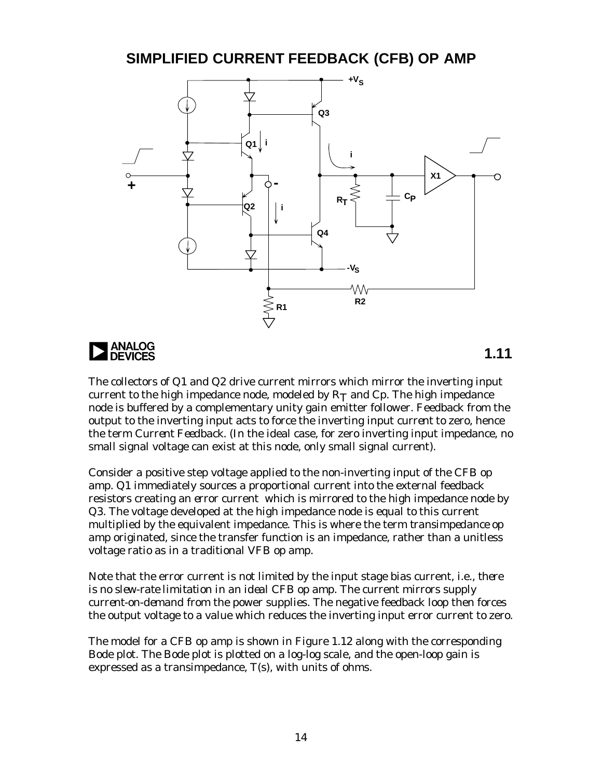### **SIMPLIFIED CURRENT FEEDBACK (CFB) OP AMP**





**1.11**

The collectors of Q1 and Q2 drive current mirrors which mirror the inverting input current to the high impedance node, modeled by  $R_T$  and  $C_p$ . The high impedance node is buffered by a complementary unity gain emitter follower. Feedback from the output to the inverting input acts to force the inverting input *current* to zero, hence the term *Current Feedback*. (In the ideal case, for zero inverting input impedance, no small signal voltage can exist at this node, only small signal current).

Consider a positive step voltage applied to the non-inverting input of the CFB op amp. Q1 immediately sources a proportional current into the external feedback resistors creating an *error* current which is mirrored to the high impedance node by Q3. The voltage developed at the high impedance node is equal to this current multiplied by the equivalent impedance. This is where the term *transimpedance op amp* originated, since the transfer function is an impedance, rather than a unitless voltage ratio as in a traditional VFB op amp.

Note that the error current is not limited by the input stage bias current, i.e., *there is no slew-rate limitation in an ideal CFB op amp*. The current mirrors supply *current-on-demand* from the power supplies. The negative feedback loop then forces the output voltage to a value which reduces the inverting input error current to zero.

The model for a CFB op amp is shown in Figure 1.12 along with the corresponding Bode plot. The Bode plot is plotted on a log-log scale, and the open-loop gain is expressed as a transimpedance, T(s), with units of ohms.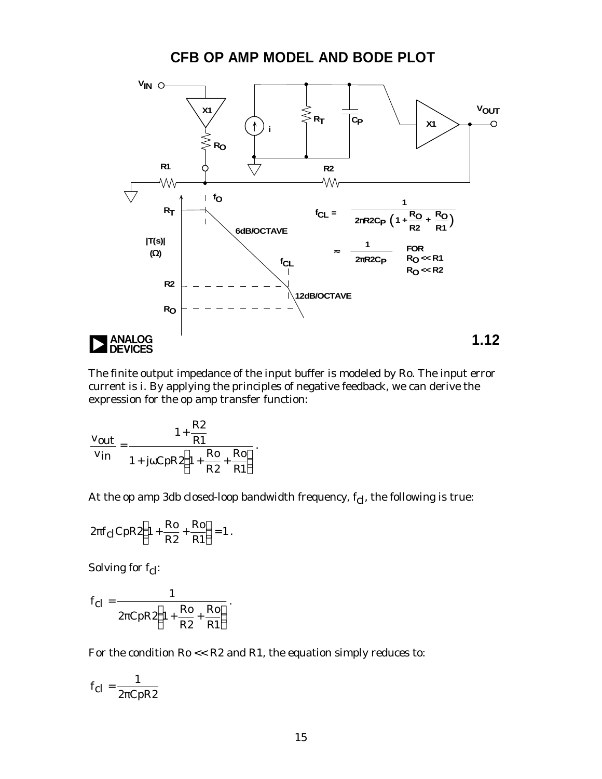**CFB OP AMP MODEL AND BODE PLOT**



The finite output impedance of the input buffer is modeled by Ro. The input error current is *i*. By applying the principles of negative feedback, we can derive the expression for the op amp transfer function:

$$
\frac{\mathbf{v}_{out}}{\mathbf{v}_{in}} = \frac{1 + \frac{R2}{R1}}{1 + j\omega \mathbf{C}pR2\left(1 + \frac{Ro}{R2} + \frac{Ro}{R1}\right)}.
$$

At the op amp 3db closed-loop bandwidth frequency,  $f_{cl}$ , the following is true:

$$
2\pi f_{\rm cl} C p R 2 \left(1 + \frac{Ro}{R2} + \frac{Ro}{R1}\right) = 1.
$$

Solving for  $f_{\text{cl}}$ :

$$
f_{\rm cl} = \frac{1}{2\pi CpR2\left(1 + \frac{Ro}{R2} + \frac{Ro}{R1}\right)}.
$$

For the condition Ro << R2 and R1, the equation simply reduces to:

$$
f_{\rm cl} = \frac{1}{2\pi CpR2}
$$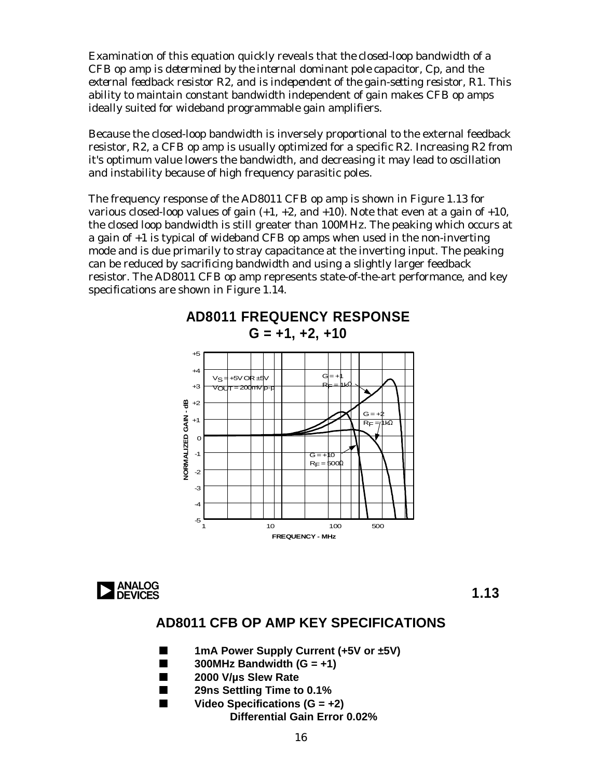Examination of this equation quickly reveals that *the closed-loop bandwidth of a CFB op amp is determined by the internal dominant pole capacitor, Cp, and the external feedback resistor R2, and is independent of the gain-setting resistor, R1*. This ability to maintain constant bandwidth independent of gain makes CFB op amps ideally suited for wideband programmable gain amplifiers.

Because the closed-loop bandwidth is inversely proportional to the external feedback resistor, R2, a CFB op amp is usually optimized for a specific R2. Increasing R2 from it's optimum value lowers the bandwidth, and decreasing it may lead to oscillation and instability because of high frequency parasitic poles.

The frequency response of the AD8011 CFB op amp is shown in Figure 1.13 for various closed-loop values of gain  $(+1, +2,$  and  $+10)$ . Note that even at a gain of  $+10$ , the closed loop bandwidth is still greater than 100MHz. The peaking which occurs at a gain of +1 is typical of wideband CFB op amps when used in the non-inverting mode and is due primarily to stray capacitance at the inverting input. The peaking can be reduced by sacrificing bandwidth and using a slightly larger feedback resistor. The AD8011 CFB op amp represents state-of-the-art performance, and key specifications are shown in Figure 1.14.

**AD8011 FREQUENCY RESPONSE**





**1.13**

### **AD8011 CFB OP AMP KEY SPECIFICATIONS**

- 1mA Power Supply Current (+5V or ±5V)
- n **300MHz Bandwidth (G = +1)**
- 2000 V/us Slew Rate
- **29ns Settling Time to 0.1%**
- Video Specifications (G = +2) **Differential Gain Error 0.02%**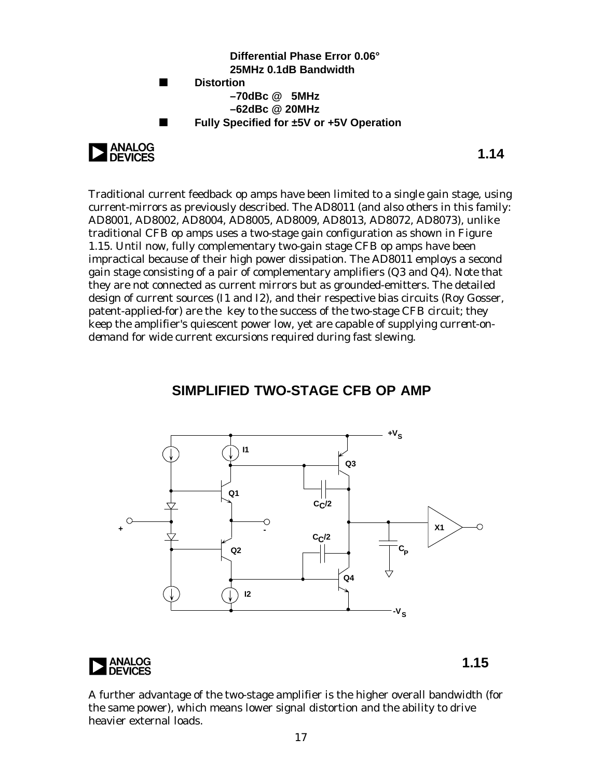



**1.14**

Traditional current feedback op amps have been limited to a single gain stage, using current-mirrors as previously described. The AD8011 (and also others in this family: AD8001, AD8002, AD8004, AD8005, AD8009, AD8013, AD8072, AD8073), unlike traditional CFB op amps uses a two-stage gain configuration as shown in Figure 1.15. Until now, fully complementary two-gain stage CFB op amps have been impractical because of their high power dissipation. The AD8011 employs a second gain stage consisting of a pair of complementary amplifiers (Q3 and Q4). Note that they are not connected as current mirrors but as grounded-emitters. The detailed design of current sources (I1 and I2), and their respective bias circuits (Roy Gosser, patent-applied-for) are the key to the success of the two-stage CFB circuit; they keep the amplifier's quiescent power low, yet are capable of supplying *current-ondemand* for wide current excursions required during fast slewing.

### **SIMPLIFIED TWO-STAGE CFB OP AMP**





**1.15**

A further advantage of the two-stage amplifier is the higher overall bandwidth (for the same power), which means lower signal distortion and the ability to drive heavier external loads.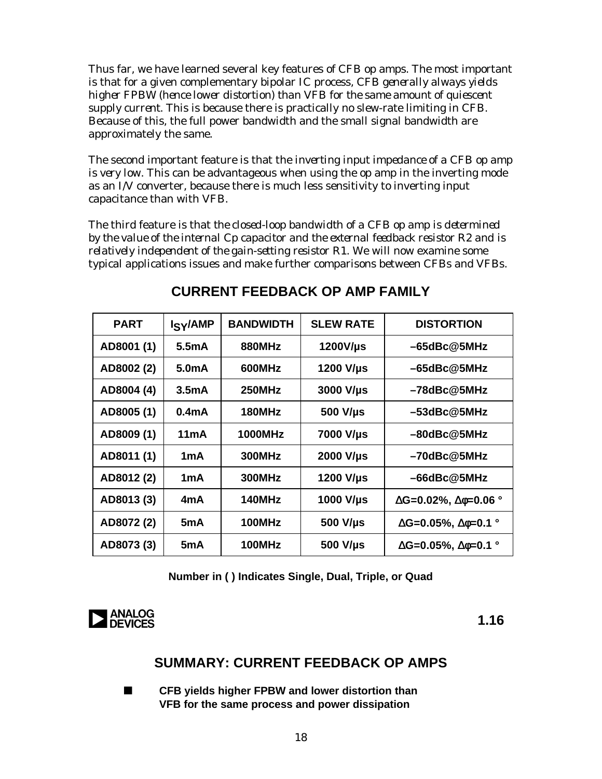Thus far, we have learned several key features of CFB op amps. The most important is that for a given complementary bipolar IC process, *CFB generally always yields higher FPBW (hence lower distortion) than VFB for the same amount of quiescent supply current.* This is because there is practically no slew-rate limiting in CFB. Because of this, the full power bandwidth and the small signal bandwidth are approximately the same.

The second important feature is that the *inverting input impedance of a CFB op amp is very low*. This can be advantageous when using the op amp in the inverting mode as an I/V converter, because there is much less sensitivity to inverting input capacitance than with VFB.

The third feature is that *the closed-loop bandwidth of a CFB op amp is determined by the value of the internal Cp capacitor and the external feedback resistor R2 and is relatively independent of the gain-setting resistor R1*. We will now examine some typical applications issues and make further comparisons between CFBs and VFBs.

| <b>PART</b> | I <sub>S</sub> <sub>Y</sub> /AMP | <b>BANDWIDTH</b> | <b>SLEW RATE</b> | <b>DISTORTION</b>                            |
|-------------|----------------------------------|------------------|------------------|----------------------------------------------|
| AD8001 (1)  | 5.5 <sub>m</sub> A               | 880MHz           | $1200V/\mu s$    | $-65$ dBc@5MHz                               |
| AD8002 (2)  | 5.0 <sub>m</sub> A               | 600MHz           | 1200 V/µs        | $-65$ dBc $@5$ MHz                           |
| AD8004 (4)  | 3.5 <sub>m</sub> A               | 250MHz           | 3000 V/µs        | $-78$ dBc $@5$ MHz                           |
| AD8005 (1)  | 0.4 <sub>m</sub> A               | 180MHz           | 500 V/µs         | $-53$ dBc $@5$ MHz                           |
| AD8009 (1)  | 11mA                             | 1000MHz          | <b>7000 V/us</b> | $-80$ dBc $@5$ MHz                           |
| AD8011 (1)  | 1mA                              | <b>300MHz</b>    | 2000 V/µs        | $-70$ dBc $@5$ MHz                           |
| AD8012 (2)  | 1mA                              | <b>300MHz</b>    | 1200 V/us        | $-66$ dBc $@5$ MHz                           |
| AD8013 (3)  | 4mA                              | 140MHz           | 1000 V/µs        | $\Delta G = 0.02\%$ , $\Delta \phi = 0.06$ ° |
| AD8072 (2)  | 5mA                              | 100MHz           | 500 V/µs         | $\Delta G = 0.05\%$ , $\Delta \phi = 0.1$ °  |
| AD8073 (3)  | 5 <sub>m</sub> A                 | 100MHz           | 500 V/µs         | $\Delta G = 0.05\%, \Delta \phi = 0.1$ °     |
|             |                                  |                  |                  |                                              |

### **CURRENT FEEDBACK OP AMP FAMILY**

**Number in ( ) Indicates Single, Dual, Triple, or Quad**



### **SUMMARY: CURRENT FEEDBACK OP AMPS**

**n** CFB yields higher FPBW and lower distortion than **VFB for the same process and power dissipation**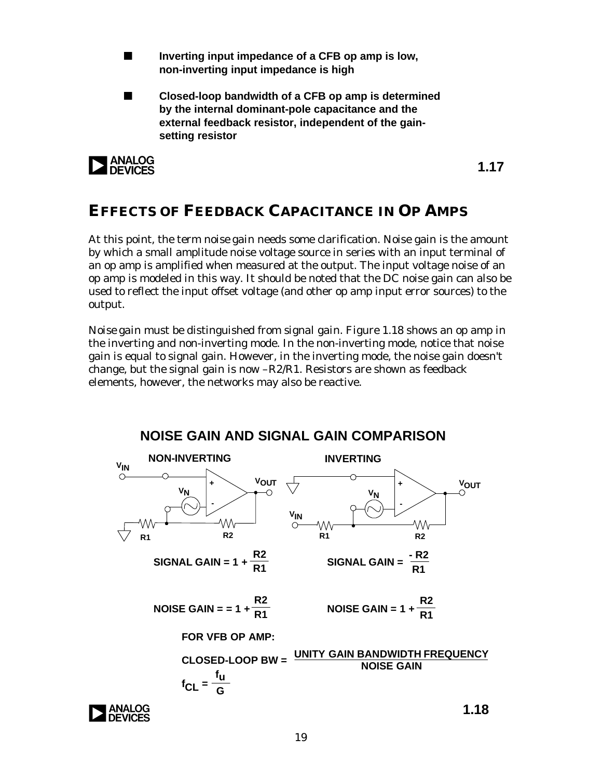- Inverting input impedance of a CFB op amp is low, **non-inverting input impedance is high**
- n **Closed-loop bandwidth of a CFB op amp is determined by the internal dominant-pole capacitance and the external feedback resistor, independent of the gainsetting resistor**



**1.17**

### **EFFECTS OF FEEDBACK CAPACITANCE IN OP AMPS**

At this point, the term *noise gain* needs some clarification. Noise gain is the amount by which a small amplitude noise voltage source in series with an input terminal of an op amp is amplified when measured at the output. The input voltage noise of an op amp is modeled in this way. It should be noted that the DC noise gain can also be used to reflect the input offset voltage (and other op amp input error sources) to the output.

*Noise gain* must be distinguished from *signal gain*. Figure 1.18 shows an op amp in the inverting and non-inverting mode. In the non-inverting mode, notice that noise gain is equal to signal gain. However, in the inverting mode, the noise gain doesn't change, but the signal gain is now  $-R2/R1$ . Resistors are shown as feedback elements, however, the networks may also be reactive.

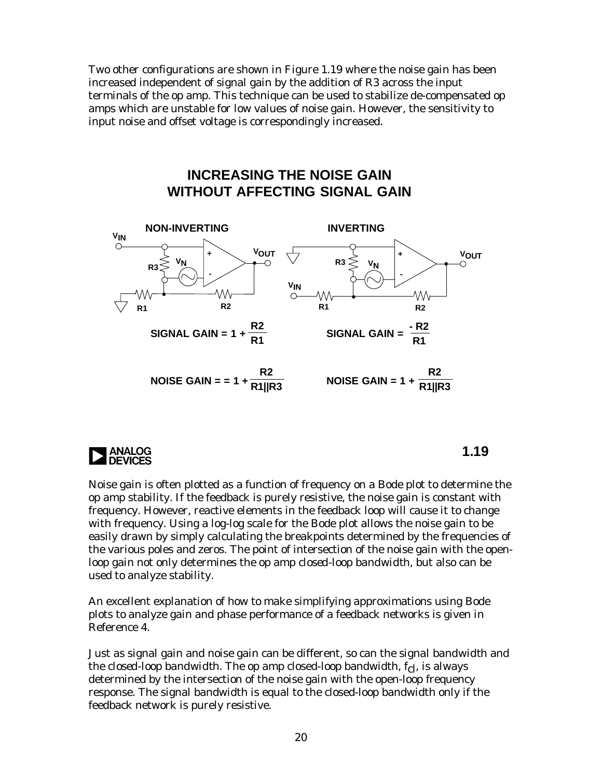Two other configurations are shown in Figure 1.19 where the noise gain has been increased independent of signal gain by the addition of R3 across the input terminals of the op amp. This technique can be used to stabilize de-compensated op amps which are unstable for low values of noise gain. However, the sensitivity to input noise and offset voltage is correspondingly increased.

### **INCREASING THE NOISE GAIN WITHOUT AFFECTING SIGNAL GAIN**





Noise gain is often plotted as a function of frequency on a Bode plot to determine the op amp stability. If the feedback is purely resistive, the noise gain is constant with frequency. However, reactive elements in the feedback loop will cause it to change with frequency. Using a log-log scale for the Bode plot allows the noise gain to be easily drawn by simply calculating the breakpoints determined by the frequencies of the various poles and zeros. The point of intersection of the noise gain with the openloop gain not only determines the op amp *closed-loop bandwidth*, but also can be used to analyze stability.

An excellent explanation of how to make simplifying approximations using Bode plots to analyze gain and phase performance of a feedback networks is given in Reference 4.

Just as signal gain and noise gain can be different, so can the *signal bandwidth* and the *closed-loop bandwidth*. The op amp closed-loop bandwidth, f<sub>cl</sub>, is always determined by the intersection of the noise gain with the open-loop frequency response. The signal bandwidth is equal to the closed-loop bandwidth only if the feedback network is purely resistive.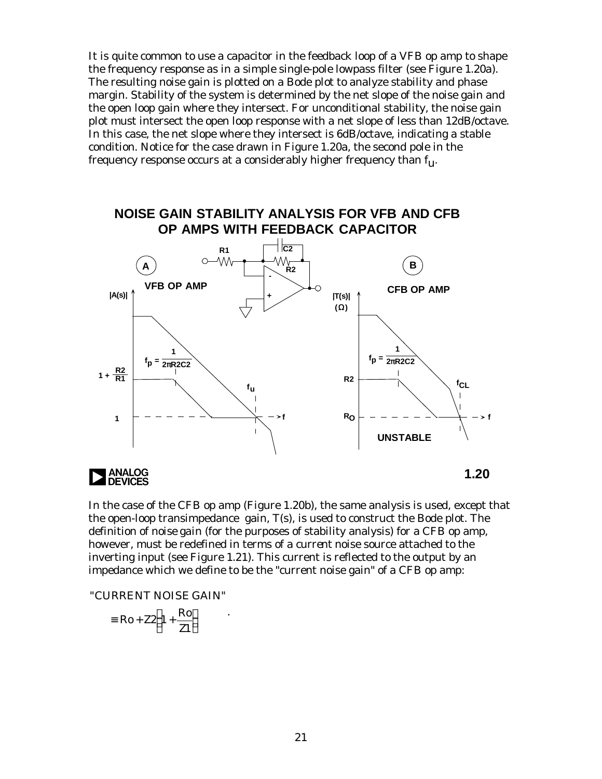It is quite common to use a capacitor in the feedback loop of a VFB op amp to shape the frequency response as in a simple single-pole lowpass filter (see Figure 1.20a). The resulting noise gain is plotted on a Bode plot to analyze stability and phase margin. Stability of the system is determined by the net slope of the noise gain and the open loop gain where they intersect. For unconditional stability, the noise gain plot must intersect the open loop response with a net slope of less than 12dB/octave. In this case, the net slope where they intersect is 6dB/octave, indicating a stable condition. Notice for the case drawn in Figure 1.20a, the second pole in the frequency response occurs at a considerably higher frequency than  $f_{11}$ .



In the case of the CFB op amp (Figure 1.20b), the same analysis is used, except that the open-loop transimpedance gain, T(s), is used to construct the Bode plot. The definition of *noise gain* (for the purposes of stability analysis) for a CFB op amp, however, must be redefined in terms of a *current* noise source attached to the inverting input (see Figure 1.21). This current is reflected to the output by an impedance which we define to be the "current noise gain" of a CFB op amp:

"CURRENT NOISE GAIN"

$$
\equiv \text{Ro} + \text{Z2} \bigg( 1 + \frac{\text{Ro}}{\text{Z1}} \bigg)
$$

.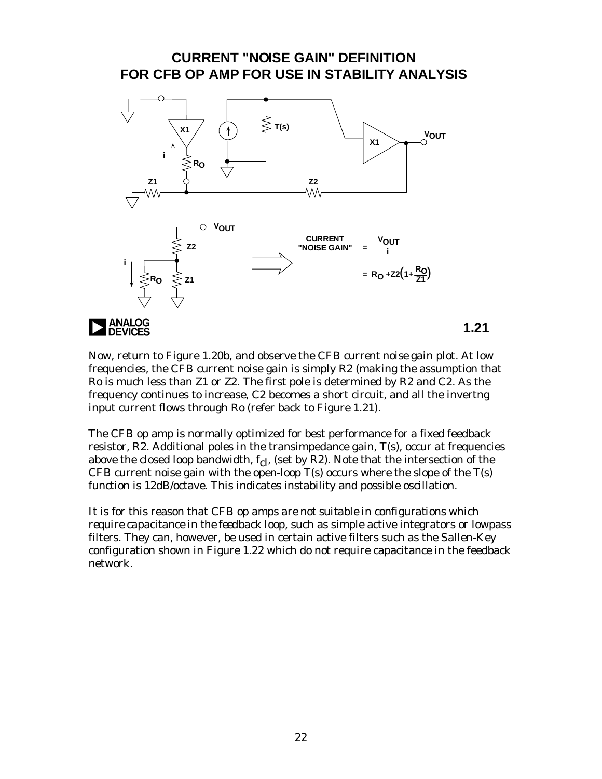#### **CURRENT "NOISE GAIN" DEFINITION FOR CFB OP AMP FOR USE IN STABILITY ANALYSIS**



Now, return to Figure 1.20b, and observe the CFB *current noise gain* plot. At low frequencies, the CFB current noise gain is simply R2 (making the assumption that Ro is much less than Z1 or Z2. The first pole is determined by R2 and C2. As the frequency continues to increase, C2 becomes a short circuit, and all the invertng input current flows through Ro (refer back to Figure 1.21).

The CFB op amp is normally optimized for best performance for a fixed feedback resistor, R2. Additional poles in the transimpedance gain, T(s), occur at frequencies above the closed loop bandwidth,  $f_{c}$ , (set by R2). Note that the intersection of the CFB current noise gain with the open-loop  $T(s)$  occurs where the slope of the  $T(s)$ function is 12dB/octave. This indicates instability and possible oscillation.

It is for this reason that *CFB op amps are not suitable in configurations which require capacitance in the feedback loop*, such as simple active integrators or lowpass filters. They can, however, be used in certain active filters such as the Sallen-Key configuration shown in Figure 1.22 which do not require capacitance in the feedback network.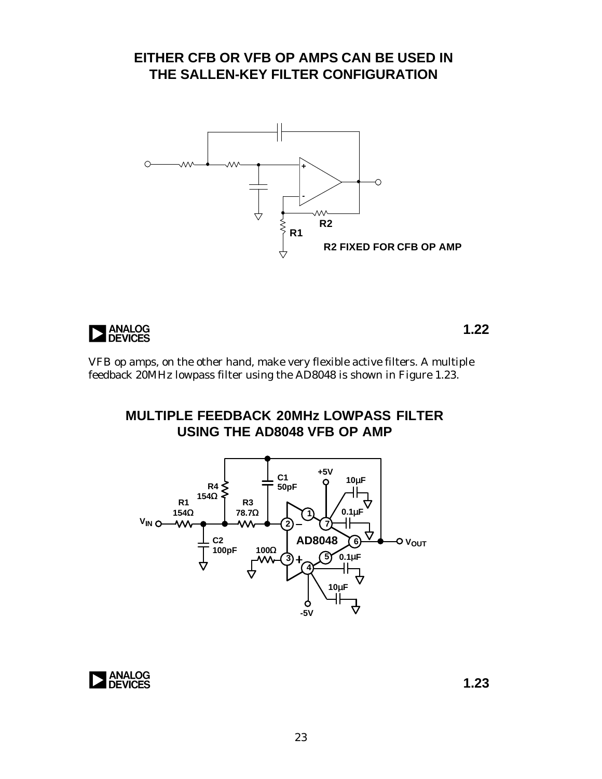### **EITHER CFB OR VFB OP AMPS CAN BE USED IN THE SALLEN-KEY FILTER CONFIGURATION**





**1.22**

VFB op amps, on the other hand, make very flexible active filters. A multiple feedback 20MHz lowpass filter using the AD8048 is shown in Figure 1.23.

**MULTIPLE FEEDBACK 20MHz LOWPASS FILTER USING THE AD8048 VFB OP AMP**



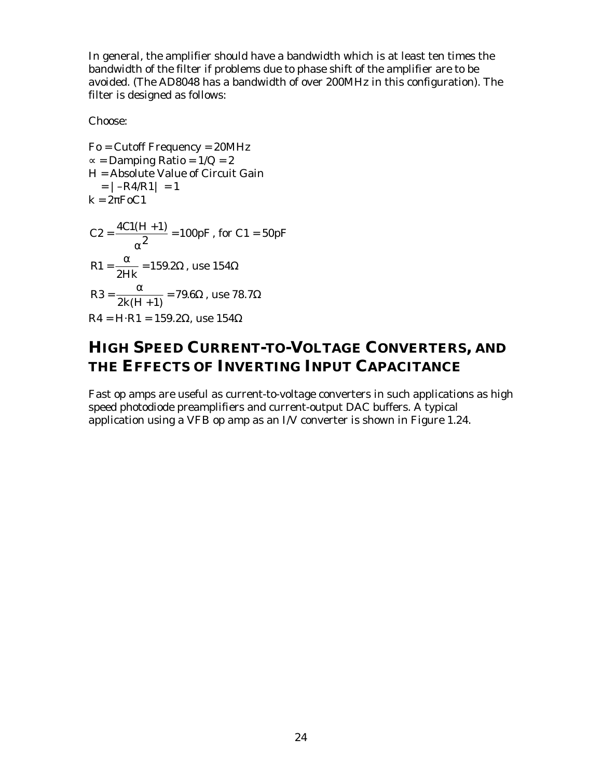In general, the amplifier should have a bandwidth which is at least ten times the bandwidth of the filter if problems due to phase shift of the amplifier are to be avoided. (The AD8048 has a bandwidth of over 200MHz in this configuration). The filter is designed as follows:

Choose:

Fo = Cutoff Frequency = 20MHz  $\infty$  = Damping Ratio = 1/Q = 2 H = Absolute Value of Circuit Gain  $= |-R4/R1| = 1$  $k = 2\pi F_0C_1$  $C2 = \frac{4C1(H+1)}{2} = 100pF$ α , for  $C1 = 50pF$ R Hk 1 2  $=\frac{\alpha}{\alpha}$  = 159.2 $\Omega$ , use 154 $\Omega$ R  $k(H)$ 3  $2k(H+1)$  $=\frac{a}{c(1+x^2-4)}$  = 79.6 +  $\frac{\alpha}{\alpha}$  =  $(H + 1)$ . $6\Omega$  , use  $78.7\Omega$  $R4 = H \cdot R1 = 159.2 \Omega$ , use  $154 \Omega$ 

### **HIGH SPEED CURRENT-TO-VOLTAGE CONVERTERS, AND THE EFFECTS OF INVERTING INPUT CAPACITANCE**

Fast op amps are useful as current-to-voltage converters in such applications as high speed photodiode preamplifiers and current-output DAC buffers. A typical application using a VFB op amp as an I/V converter is shown in Figure 1.24.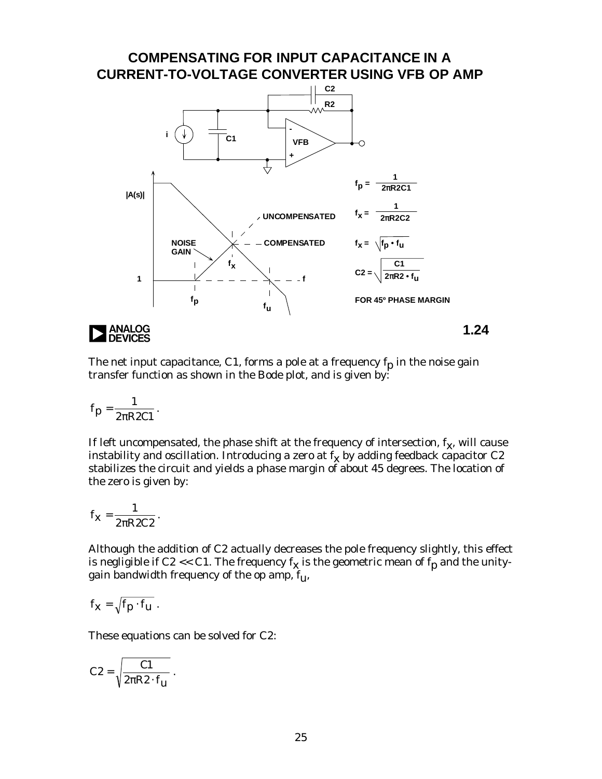

The net input capacitance, C1, forms a pole at a frequency  $f_p$  in the noise gain transfer function as shown in the Bode plot, and is given by:

$$
f_p=\frac{1}{2\pi R2Cl} \, .
$$

If left uncompensated, the phase shift at the frequency of intersection,  $\rm f_{\rm \bf X}$ , will cause instability and oscillation. Introducing a zero at  $\rm f_{\rm X}$  by adding feedback capacitor C2 stabilizes the circuit and yields a phase margin of about 45 degrees. The location of the zero is given by:

$$
f_{\mathbf{X}} = \frac{1}{2\pi R2C2}.
$$

Although the addition of C2 actually decreases the pole frequency slightly, this effect is negligible if C2 << C1. The frequency  $\rm f_{\rm X}$  is the geometric mean of  $\rm f_{\rm p}$  and the unitygain bandwidth frequency of the op amp,  $f_{\mathbf{u}}$ ,

$$
f_{\mathbf{X}}=\sqrt{f_{p}\cdot f_{\mathbf{U}}}\;.
$$

These equations can be solved for C2:

$$
C2 = \sqrt{\frac{C1}{2\pi R2 \cdot f_{\mathbf{u}}}} \ .
$$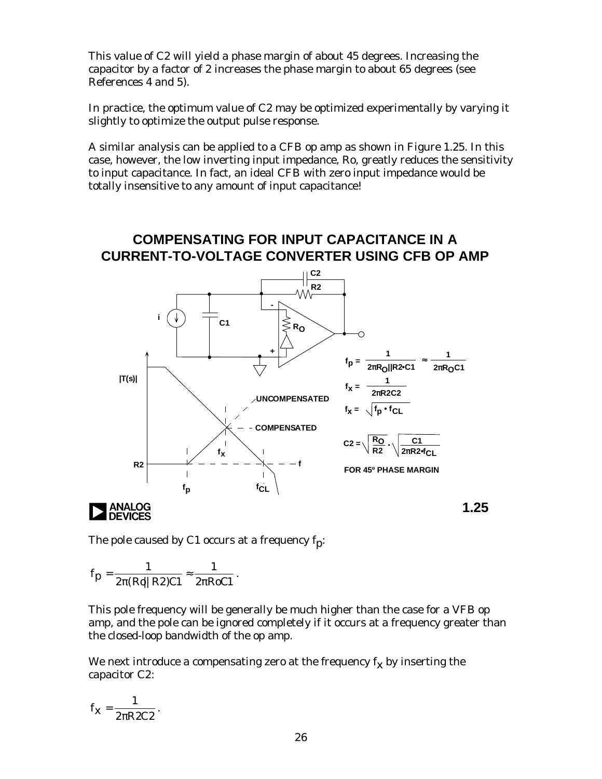This value of C2 will yield a phase margin of about 45 degrees. Increasing the capacitor by a factor of 2 increases the phase margin to about 65 degrees (see References 4 and 5).

In practice, the optimum value of C2 may be optimized experimentally by varying it slightly to optimize the output pulse response.

A similar analysis can be applied to a CFB op amp as shown in Figure 1.25. In this case, however, the low inverting input impedance, Ro, greatly reduces the sensitivity to input capacitance. In fact, an ideal CFB with zero input impedance would be totally insensitive to any amount of input capacitance!

### **COMPENSATING FOR INPUT CAPACITANCE IN A CURRENT-TO-VOLTAGE CONVERTER USING CFB OP AMP**



The pole caused by C1 occurs at a frequency  $f_p$ :

$$
f_p = \frac{1}{2\pi (Ro||R2)Cl} \approx \frac{1}{2\pi RoCl}.
$$

This pole frequency will be generally be much higher than the case for a VFB op amp, and the pole can be ignored completely if it occurs at a frequency greater than the closed-loop bandwidth of the op amp.

We next introduce a compensating zero at the frequency  $\bm{\mathsf{f}_x}$  by inserting the capacitor C2:

$$
f_{\mathbf{X}}=\frac{1}{2\pi R2C2}.
$$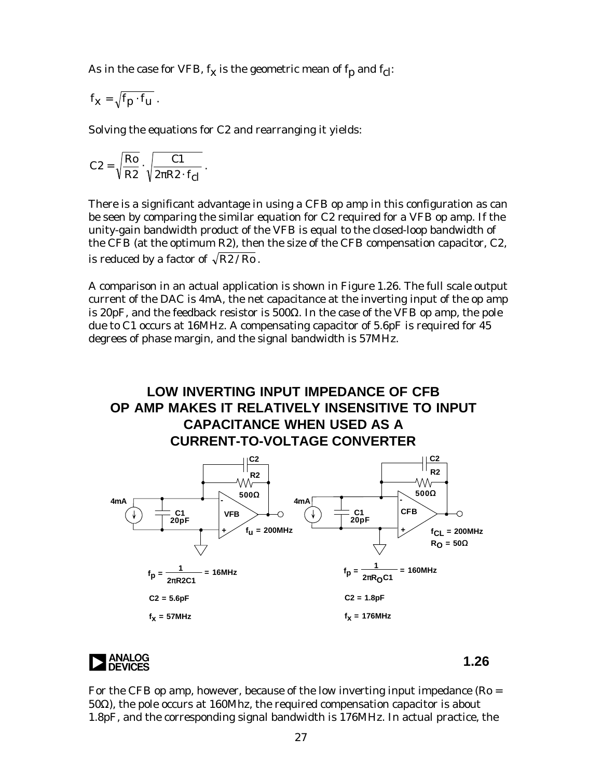As in the case for VFB,  $f_{\bf X}$  is the geometric mean of  $f_{\bf p}$  and  $f_{\bf cl}$ :

$$
f_{\boldsymbol{x}}=\sqrt{f_{\boldsymbol{p}}\cdot f_{\boldsymbol{u}}}\ .
$$

Solving the equations for C2 and rearranging it yields:

$$
C2 = \sqrt{\frac{Ro}{R2}} \cdot \sqrt{\frac{C1}{2\pi R2 \cdot f_{cl}}} \ .
$$

There is a significant advantage in using a CFB op amp in this configuration as can be seen by comparing the similar equation for C2 required for a VFB op amp. If the unity-gain bandwidth product of the VFB is equal to the closed-loop bandwidth of the CFB (at the optimum R2), then the size of the CFB compensation capacitor, C2, is reduced by a factor of  $\sqrt{R2 / Ro}$ .

A comparison in an actual application is shown in Figure 1.26. The full scale output current of the DAC is 4mA, the net capacitance at the inverting input of the op amp is 20pF, and the feedback resistor is 500Ω. In the case of the VFB op amp, the pole due to C1 occurs at 16MHz. A compensating capacitor of 5.6pF is required for 45 degrees of phase margin, and the signal bandwidth is 57MHz.

### **LOW INVERTING INPUT IMPEDANCE OF CFB OP AMP MAKES IT RELATIVELY INSENSITIVE TO INPUT CAPACITANCE WHEN USED AS A CURRENT-TO-VOLTAGE CONVERTER**





For the CFB op amp, however, because of the low inverting input impedance ( $Ro =$ 50Ω), the pole occurs at 160Mhz, the required compensation capacitor is about 1.8pF, and the corresponding signal bandwidth is 176MHz. In actual practice, the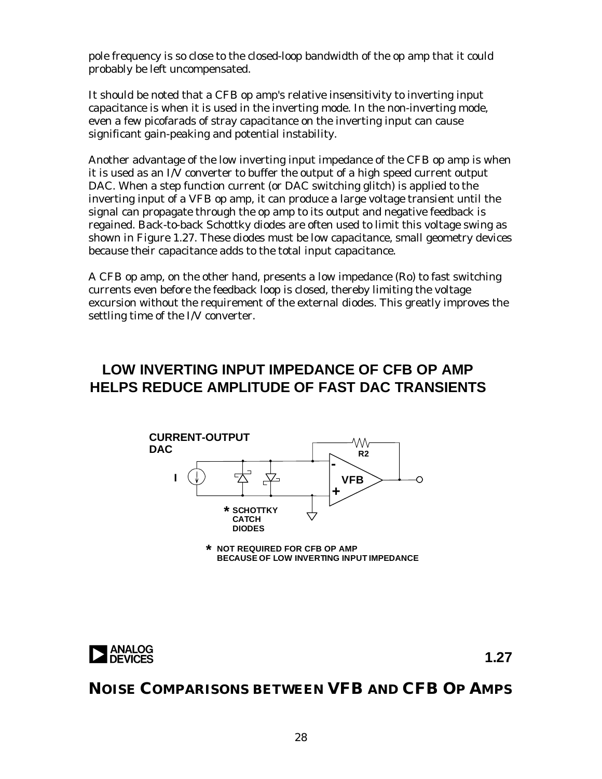pole frequency is so close to the closed-loop bandwidth of the op amp that it could probably be left uncompensated.

It should be noted that a CFB op amp's relative insensitivity to inverting input capacitance is when it is used in the inverting mode. In the non-inverting mode, even a few picofarads of stray capacitance on the inverting input can cause significant gain-peaking and potential instability.

Another advantage of the low inverting input impedance of the CFB op amp is when it is used as an I/V converter to buffer the output of a high speed current output DAC. When a step function current (or DAC switching glitch) is applied to the inverting input of a VFB op amp, it can produce a large voltage transient until the signal can propagate through the op amp to its output and negative feedback is regained. Back-to-back Schottky diodes are often used to limit this voltage swing as shown in Figure 1.27. These diodes must be low capacitance, small geometry devices because their capacitance adds to the total input capacitance.

A CFB op amp, on the other hand, presents a low impedance (Ro) to fast switching currents even before the feedback loop is closed, thereby limiting the voltage excursion without the requirement of the external diodes. This greatly improves the settling time of the I/V converter.

### **LOW INVERTING INPUT IMPEDANCE OF CFB OP AMP HELPS REDUCE AMPLITUDE OF FAST DAC TRANSIENTS**



**\* NOT REQUIRED FOR CFB OP AMP BECAUSE OF LOW INVERTING INPUT IMPEDANCE**



**1.27**

### **NOISE COMPARISONS BETWEEN VFB AND CFB OP AMPS**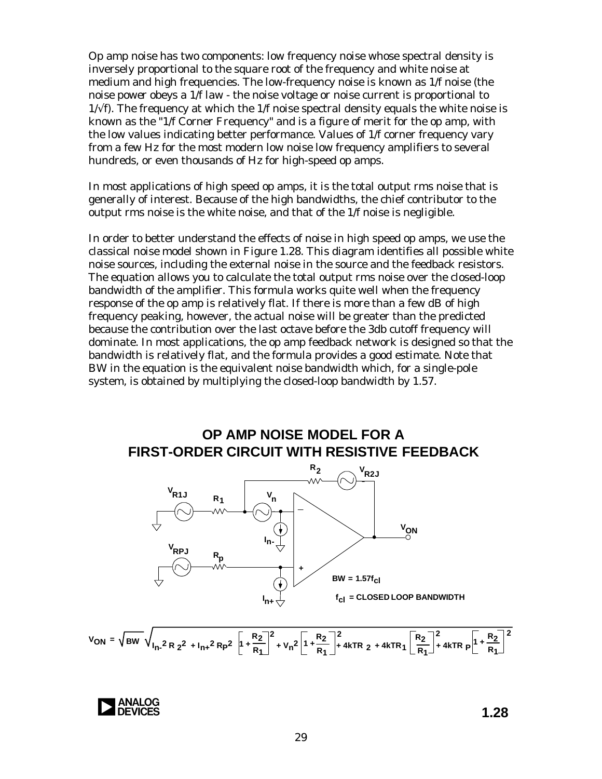Op amp noise has two components: low frequency noise whose spectral density is inversely proportional to the square root of the frequency and white noise at medium and high frequencies. The low-frequency noise is known as 1/f noise (the noise *power* obeys a 1/f law - the noise voltage or noise current is proportional to  $1/\sqrt{f}$ . The frequency at which the 1/f noise spectral density equals the white noise is known as the "1/f Corner Frequency" and is a figure of merit for the op amp, with the low values indicating better performance. Values of 1/f corner frequency vary from a few Hz for the most modern low noise low frequency amplifiers to several hundreds, or even thousands of Hz for high-speed op amps.

In most applications of high speed op amps, it is the total output rms noise that is generally of interest. Because of the high bandwidths, the chief contributor to the output rms noise is the white noise, and that of the 1/f noise is negligible.

In order to better understand the effects of noise in high speed op amps, we use the classical noise model shown in Figure 1.28. This diagram identifies all possible white noise sources, including the external noise in the source and the feedback resistors. The equation allows you to calculate the total output rms noise over the closed-loop bandwidth of the amplifier. This formula works quite well when the frequency response of the op amp is relatively flat. If there is more than a few dB of high frequency peaking, however, the actual noise will be greater than the predicted because the contribution over the last octave before the 3db cutoff frequency will dominate. In most applications, the op amp feedback network is designed so that the bandwidth is relatively flat, and the formula provides a good estimate. Note that BW in the equation is the equivalent noise bandwidth which, for a single-pole system, is obtained by multiplying the closed-loop bandwidth by 1.57.





$$
V_{ON} = \sqrt{BW} \sqrt{I_{n}^2 R_{2}^2 + I_{n+}^2 R_{P}^2} \left[1 + \frac{R_{2}}{R_{1}}\right]^2 + V_{n}^2 \left[1 + \frac{R_{2}}{R_{1}}\right]^2 + 4kTR_{2} + 4kTR_{1} \left[\frac{R_{2}}{R_{1}}\right]^2 + 4kTR_{P} \left[1 + \frac{R_{2}}{R_{1}}\right]^2
$$

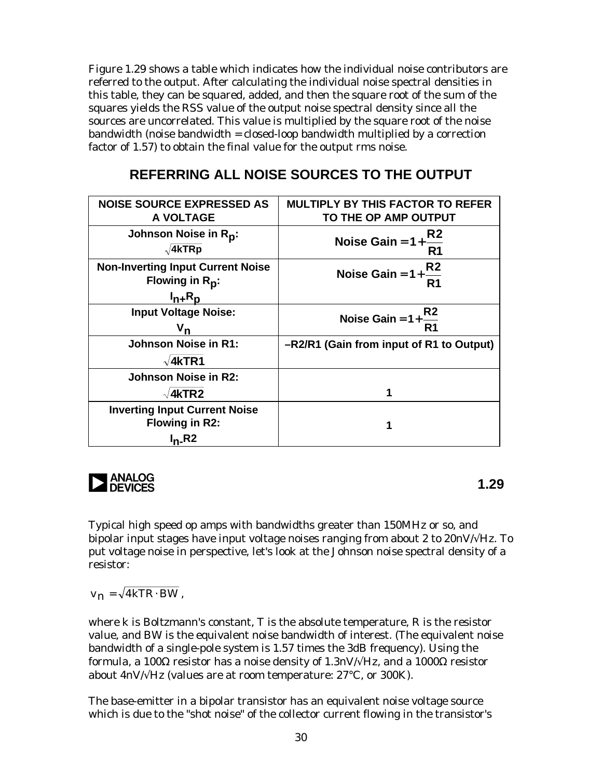Figure 1.29 shows a table which indicates how the individual noise contributors are referred to the output. After calculating the individual noise spectral densities in this table, they can be squared, added, and then the square root of the sum of the squares yields the RSS value of the output noise spectral density since all the sources are uncorrelated. This value is multiplied by the square root of the noise bandwidth (noise bandwidth = closed-loop bandwidth multiplied by a correction factor of 1.57) to obtain the final value for the output rms noise.

### **REFERRING ALL NOISE SOURCES TO THE OUTPUT**

| <b>NOISE SOURCE EXPRESSED AS</b><br>A VOLTAGE                           | <b>MULTIPLY BY THIS FACTOR TO REFER</b><br>TO THE OP AMP OUTPUT |  |  |
|-------------------------------------------------------------------------|-----------------------------------------------------------------|--|--|
| Johnson Noise in Rp:<br>$\sqrt{4kTRp}$                                  | Noise Gain = $1+\frac{R2}{R}$<br>R <sub>1</sub>                 |  |  |
| <b>Non-Inverting Input Current Noise</b><br>Flowing in R <sub>p</sub> : | Noise Gain = $1+\frac{R2}{R1}$                                  |  |  |
| $I_{n+}R_p$                                                             |                                                                 |  |  |
| <b>Input Voltage Noise:</b>                                             | Noise Gain = $1+\frac{R2}{R1}$                                  |  |  |
|                                                                         |                                                                 |  |  |
| <b>Johnson Noise in R1:</b>                                             | -R2/R1 (Gain from input of R1 to Output)                        |  |  |
| $\sqrt{4kTR1}$                                                          |                                                                 |  |  |
| Johnson Noise in R2:                                                    |                                                                 |  |  |
| $\sqrt{4kTR2}$                                                          | 1                                                               |  |  |
| <b>Inverting Input Current Noise</b><br><b>Flowing in R2:</b>           | 1                                                               |  |  |
| $I_n$ <sub>-</sub> R <sub>2</sub>                                       |                                                                 |  |  |

**1.29**<br>a **1.29**<br>**1.29** 

Typical high speed op amps with bandwidths greater than 150MHz or so, and bipolar input stages have input voltage noises ranging from about 2 to  $20nV/\sqrt{Hz}$ . To put voltage noise in perspective, let's look at the Johnson noise spectral density of a resistor:

 $v_n = \sqrt{4kTR \cdot BW}$ ,

where k is Boltzmann's constant, T is the absolute temperature, R is the resistor value, and BW is the equivalent noise bandwidth of interest. (The equivalent noise bandwidth of a single-pole system is 1.57 times the 3dB frequency). Using the formula, a 100Ω resistor has a noise density of 1.3nV/√Hz, and a 1000Ω resistor about  $4nV/\sqrt{Hz}$  (values are at room temperature: 27°C, or 300K).

The base-emitter in a bipolar transistor has an equivalent noise voltage source which is due to the "shot noise" of the collector current flowing in the transistor's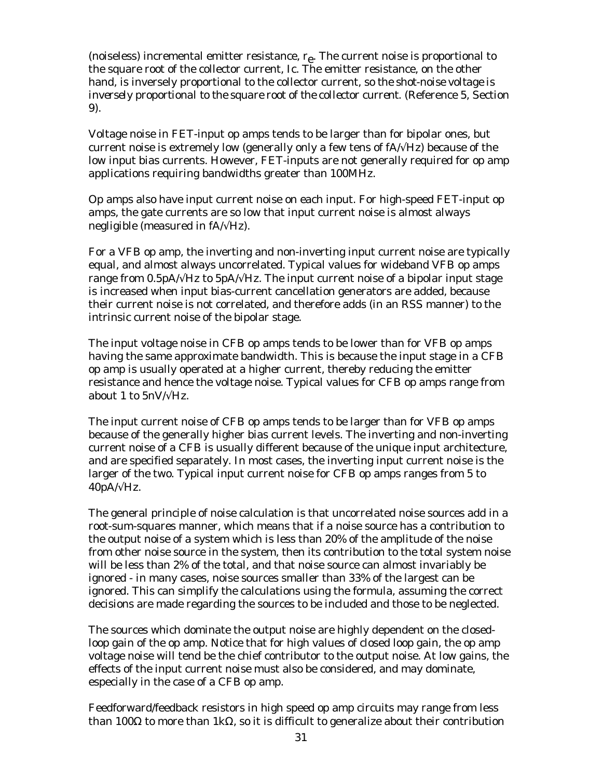(noiseless) incremental emitter resistance,  $r_{e}$ . The current noise is proportional to the square root of the collector current, Ic. The emitter resistance, on the other hand, is inversely proportional to the collector current, so *the shot-noise voltage is inversely proportional to the square root of the collector current*. (Reference 5, Section 9).

Voltage noise in FET-input op amps tends to be larger than for bipolar ones, but current noise is extremely low (generally only a few tens of  $fA/\sqrt{Hz}$ ) because of the low input bias currents. However, FET-inputs are not generally required for op amp applications requiring bandwidths greater than 100MHz.

Op amps also have input current noise on each input. For high-speed FET-input op amps, the gate currents are so low that input current noise is almost always negligible (measured in  $fA/\sqrt{Hz}$ ).

For a VFB op amp, the inverting and non-inverting input current noise are typically equal, and almost always uncorrelated. Typical values for wideband VFB op amps range from 0.5pA/ $\forall$ Hz to 5pA/ $\forall$ Hz. The input current noise of a bipolar input stage is increased when input bias-current cancellation generators are added, because their current noise is not correlated, and therefore adds (in an RSS manner) to the intrinsic current noise of the bipolar stage.

The input voltage noise in CFB op amps tends to be lower than for VFB op amps having the same approximate bandwidth. This is because the input stage in a CFB op amp is usually operated at a higher current, thereby reducing the emitter resistance and hence the voltage noise. Typical values for CFB op amps range from about 1 to  $5nV/\sqrt{Hz}$ .

The input current noise of CFB op amps tends to be larger than for VFB op amps because of the generally higher bias current levels. The inverting and non-inverting current noise of a CFB is usually different because of the unique input architecture, and are specified separately. In most cases, the inverting input current noise is the larger of the two. Typical input current noise for CFB op amps ranges from 5 to  $40pA/\sqrt{Hz}$ .

The general principle of noise calculation is that uncorrelated noise sources add in a root-sum-squares manner, which means that if a noise source has a contribution to the output noise of a system which is less than 20% of the amplitude of the noise from other noise source in the system, then its contribution to the total system noise will be less than 2% of the total, and that noise source can almost invariably be ignored - in many cases, noise sources smaller than 33% of the largest can be ignored. This can simplify the calculations using the formula, assuming the correct decisions are made regarding the sources to be included and those to be neglected.

The sources which dominate the output noise are highly dependent on the closedloop gain of the op amp. Notice that for high values of closed loop gain, the op amp voltage noise will tend be the chief contributor to the output noise. At low gains, the effects of the input current noise must also be considered, and may dominate, especially in the case of a CFB op amp.

Feedforward/feedback resistors in high speed op amp circuits may range from less than 100Ω to more than 1kΩ, so it is difficult to generalize about their contribution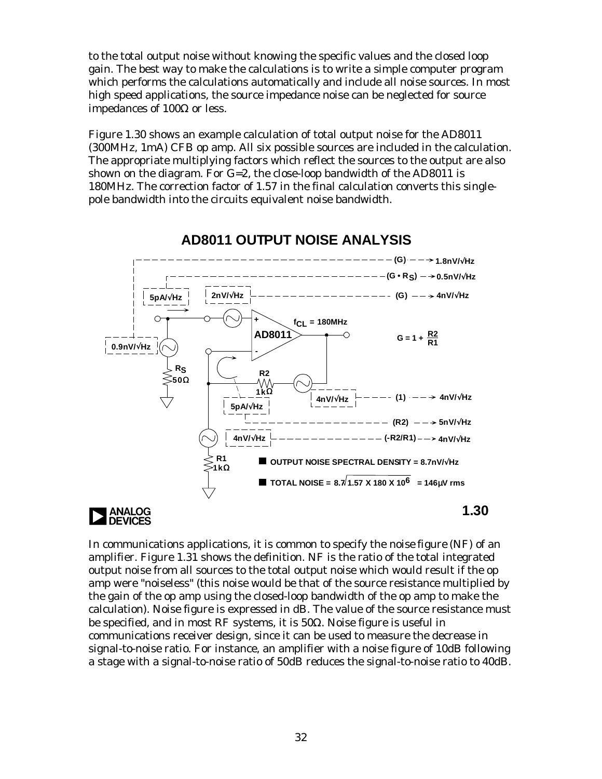to the total output noise without knowing the specific values and the closed loop gain. The best way to make the calculations is to write a simple computer program which performs the calculations automatically and include all noise sources. In most high speed applications, the source impedance noise can be neglected for source impedances of 100Ω or less.

Figure 1.30 shows an example calculation of total output noise for the AD8011 (300MHz, 1mA) CFB op amp. All six possible sources are included in the calculation. The appropriate multiplying factors which reflect the sources to the output are also shown on the diagram. For G=2, the close-loop bandwidth of the AD8011 is 180MHz. The correction factor of 1.57 in the final calculation converts this singlepole bandwidth into the circuits equivalent noise bandwidth.



### **AD8011 OUTPUT NOISE ANALYSIS**

In communications applications, it is common to specify the *noise figure* (NF) of an amplifier. Figure 1.31 shows the definition. NF is the ratio of the total integrated output noise from all sources to the total output noise which would result if the op amp were "noiseless" (this noise would be that of the source resistance multiplied by the gain of the op amp using the closed-loop bandwidth of the op amp to make the calculation). Noise figure is expressed in dB. The value of the source resistance must be specified, and in most RF systems, it is 50Ω. Noise figure is useful in communications receiver design, since it can be used to measure the decrease in signal-to-noise ratio. For instance, an amplifier with a noise figure of 10dB following a stage with a signal-to-noise ratio of 50dB reduces the signal-to-noise ratio to 40dB.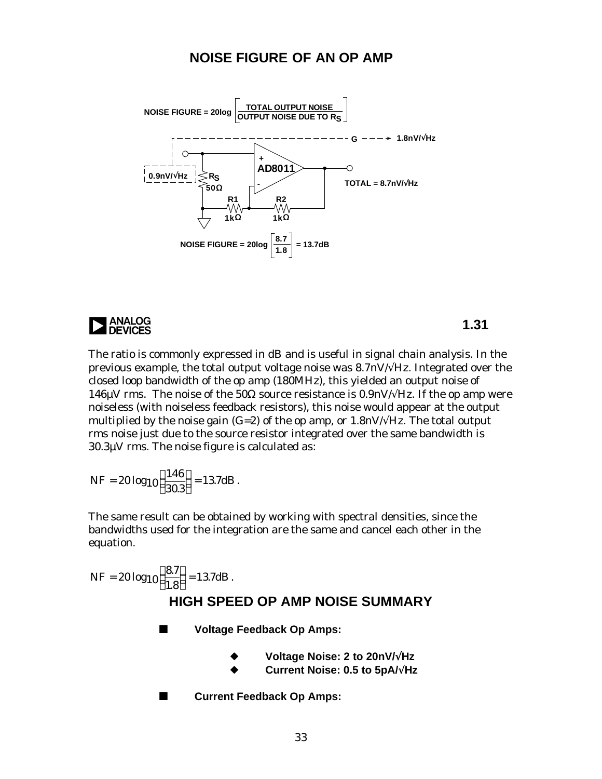#### **NOISE FIGURE OF AN OP AMP**



# **1.31** and the set of the set of the set of the set of the set of the set of the set of the set of the set of the set of the set of the set of the set of the set of the set of the set of the set of the set of the set of th

The ratio is commonly expressed in dB and is useful in signal chain analysis. In the previous example, the total output voltage noise was 8.7nV/√Hz. Integrated over the closed loop bandwidth of the op amp (180MHz), this yielded an output noise of 146 $\mu$ V rms. The noise of the 50 $\Omega$  source resistance is 0.9nV/ $\sqrt{Hz}$ . If the op amp were noiseless (with noiseless feedback resistors), this noise would appear at the output multiplied by the noise gain (G=2) of the op amp, or 1.8nV/ $\forall$ Hz. The total output rms noise just due to the source resistor integrated over the same bandwidth is 30.3µV rms. The noise figure is calculated as:

NF = 
$$
20 \log_{10} \left( \frac{146}{30.3} \right) = 13.7 \text{dB}
$$
.

The same result can be obtained by working with spectral densities, since the bandwidths used for the integration are the same and cancel each other in the equation.

$$
NF = 20 \log_{10} \left( \frac{8.7}{1.8} \right) = 13.7 \text{dB}.
$$
  
**HIGH SPECD OP AMP NOISE SUMMARY**

■ Voltage Feedback Op Amps:

- u **Voltage Noise: 2 to 20nV/**√**Hz**
- u **Current Noise: 0.5 to 5pA/**√**Hz**
- Current Feedback Op Amps: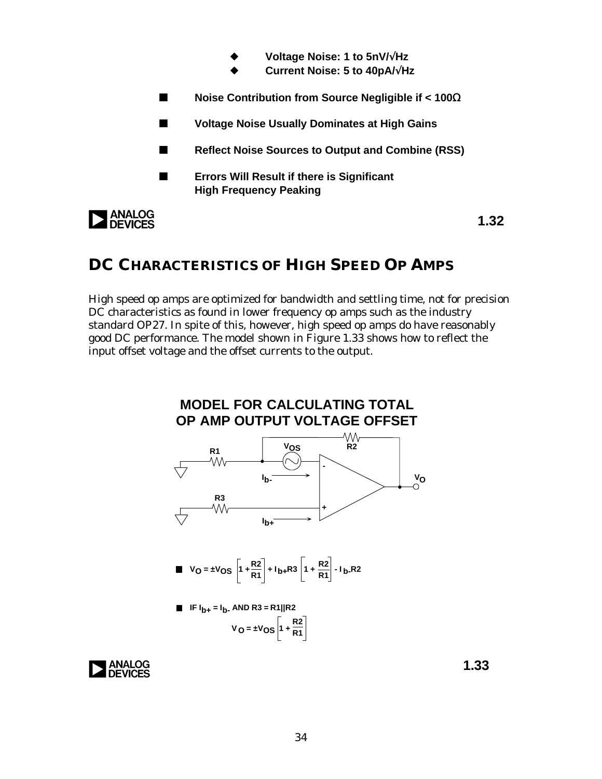- u **Voltage Noise: 1 to 5nV/**√**Hz**
- u **Current Noise: 5 to 40pA/**√**Hz**
- n **Noise Contribution from Source Negligible if < 100**Ω
- Voltage Noise Usually Dominates at High Gains
- Reflect Noise Sources to Output and Combine (RSS)
- **EXECUTE:** Errors Will Result if there is Significant **High Frequency Peaking**

**ANALOG**<br>**DEVICES** 

**1.32**

### **DC CHARACTERISTICS OF HIGH SPEED OP AMPS**

High speed op amps are optimized for bandwidth and settling time, not for precision DC characteristics as found in lower frequency op amps such as the industry standard OP27. In spite of this, however, high speed op amps do have reasonably good DC performance. The model shown in Figure 1.33 shows how to reflect the input offset voltage and the offset currents to the output.



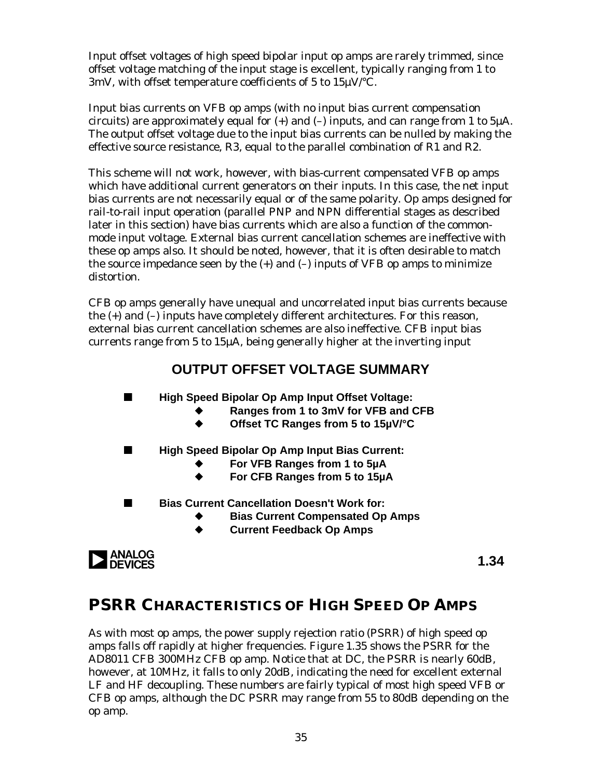Input offset voltages of high speed bipolar input op amps are rarely trimmed, since offset voltage matching of the input stage is excellent, typically ranging from 1 to 3mV, with offset temperature coefficients of 5 to 15µV/°C.

Input bias currents on VFB op amps (with no input bias current compensation circuits) are approximately equal for  $(+)$  and  $(-)$  inputs, and can range from 1 to 5 $\mu$ A. The output offset voltage due to the input bias currents can be nulled by making the effective source resistance, R3, equal to the parallel combination of R1 and R2.

This scheme will not work, however, with bias-current compensated VFB op amps which have additional current generators on their inputs. In this case, the net input bias currents are not necessarily equal or of the same polarity. Op amps designed for rail-to-rail input operation (parallel PNP and NPN differential stages as described later in this section) have bias currents which are also a function of the commonmode input voltage. External bias current cancellation schemes are ineffective with these op amps also. It should be noted, however, that it is often desirable to match the source impedance seen by the  $(+)$  and  $(-)$  inputs of VFB op amps to minimize distortion.

CFB op amps generally have unequal and uncorrelated input bias currents because the (+) and (–) inputs have completely different architectures. For this reason, external bias current cancellation schemes are also ineffective. CFB input bias currents range from 5 to 15µA, being generally higher at the inverting input

### **OUTPUT OFFSET VOLTAGE SUMMARY**

**High Speed Bipolar Op Amp Input Offset Voltage:** 

- u **Ranges from 1 to 3mV for VFB and CFB**
- u **Offset TC Ranges from 5 to 15µV/°C**
- High Speed Bipolar Op Amp Input Bias Current:
	- For VFB Ranges from 1 to 5µA
	- For CFB Ranges from 5 to 15µA
- **Bias Current Cancellation Doesn't Work for:** 
	- **Bias Current Compensated Op Amps**
	- ◆ Current Feedback Op Amps



**1.34**

## **PSRR CHARACTERISTICS OF HIGH SPEED OP AMPS**

As with most op amps, the power supply rejection ratio (PSRR) of high speed op amps falls off rapidly at higher frequencies. Figure 1.35 shows the PSRR for the AD8011 CFB 300MHz CFB op amp. Notice that at DC, the PSRR is nearly 60dB, however, at 10MHz, it falls to only 20dB, indicating the need for excellent external LF and HF decoupling. These numbers are fairly typical of most high speed VFB or CFB op amps, although the DC PSRR may range from 55 to 80dB depending on the op amp.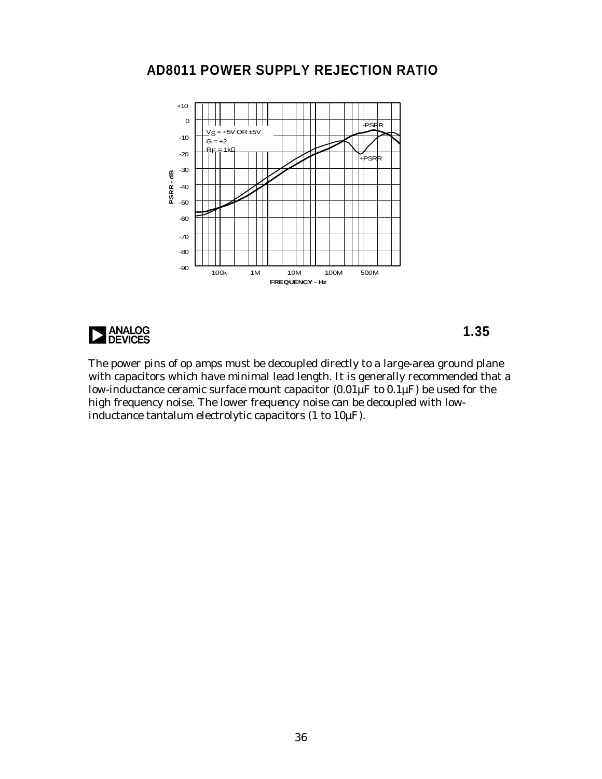### **AD8011 POWER SUPPLY REJECTION RATIO**





The power pins of op amps must be decoupled directly to a large-area ground plane with capacitors which have minimal lead length. It is generally recommended that a low-inductance ceramic surface mount capacitor  $(0.01\text{µF}$  to  $0.1\text{µF})$  be used for the high frequency noise. The lower frequency noise can be decoupled with lowinductance tantalum electrolytic capacitors (1 to 10µF).